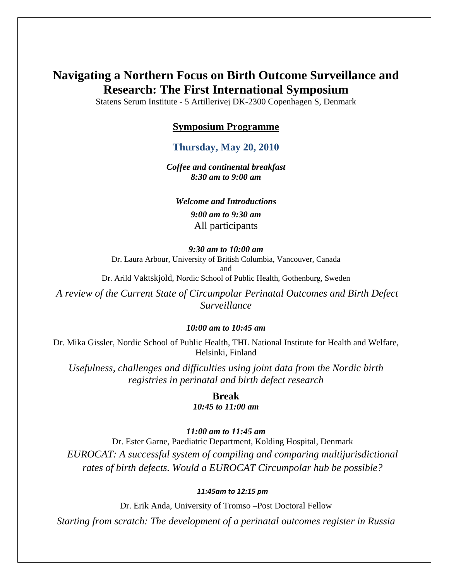# **Navigating a Northern Focus on Birth Outcome Surveillance and Research: The First International Symposium**

Statens Serum Institute - 5 Artillerivej DK-2300 Copenhagen S, Denmark

#### **Symposium Programme**

#### **Thursday, May 20, 2010**

*Coffee and continental breakfast 8:30 am to 9:00 am* 

*Welcome and Introductions 9:00 am to 9:30 am*  All participants

#### *9:30 am to 10:00 am*

Dr. Laura Arbour, University of British Columbia, Vancouver, Canada and Dr. Arild Vaktskjold, Nordic School of Public Health, Gothenburg, Sweden

 *A review of the Current State of Circumpolar Perinatal Outcomes and Birth Defect Surveillance* 

#### *10:00 am to 10:45 am*

Dr. Mika Gissler, Nordic School of Public Health, THL National Institute for Health and Welfare, Helsinki, Finland

*Usefulness, challenges and difficulties using joint data from the Nordic birth registries in perinatal and birth defect research* 

> **Break**  *10:45 to 11:00 am*

*11:00 am to 11:45 am* 

Dr. Ester Garne, Paediatric Department, Kolding Hospital, Denmark *EUROCAT: A successful system of compiling and comparing multijurisdictional rates of birth defects. Would a EUROCAT Circumpolar hub be possible?* 

#### *11:45am to 12:15 pm*

Dr. Erik Anda, University of Tromso –Post Doctoral Fellow

*Starting from scratch: The development of a perinatal outcomes register in Russia*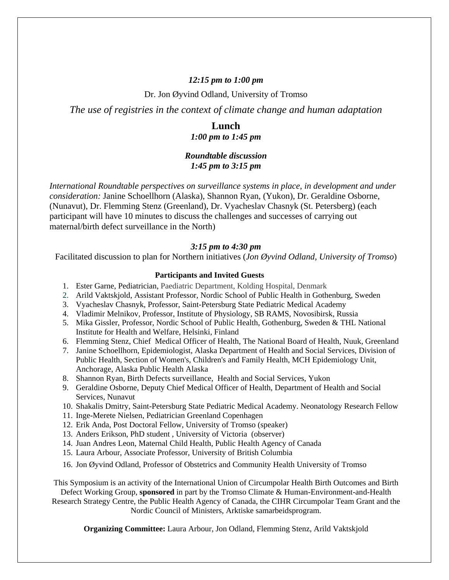#### *12:15 pm to 1:00 pm*

Dr. Jon Øyvind Odland, University of Tromso

*The use of registries in the context of climate change and human adaptation* 

## **Lunch**

*1:00 pm to 1:45 pm* 

#### *Roundtable discussion 1:45 pm to 3:15 pm*

*International Roundtable perspectives on surveillance systems in place, in development and under consideration:* Janine Schoellhorn (Alaska), Shannon Ryan, (Yukon), Dr. Geraldine Osborne, (Nunavut), Dr. Flemming Stenz (Greenland), Dr. Vyacheslav Chasnyk (St. Petersberg) (each participant will have 10 minutes to discuss the challenges and successes of carrying out maternal/birth defect surveillance in the North)

#### *3:15 pm to 4:30 pm*

Facilitated discussion to plan for Northern initiatives (*Jon Øyvind Odland, University of Tromso*)

#### **Participants and Invited Guests**

- 1. Ester Garne, Pediatrician, Paediatric Department, Kolding Hospital, Denmark
- 2. Arild Vaktskjold, Assistant Professor, Nordic School of Public Health in Gothenburg, Sweden
- 3. Vyacheslav Chasnyk, Professor, Saint-Petersburg State Pediatric Medical Academy
- 4. Vladimir Melnikov, Professor, Institute of Physiology, SB RAMS, Novosibirsk, Russia
- 5. Mika Gissler, Professor, Nordic School of Public Health, Gothenburg, Sweden & THL National Institute for Health and Welfare, Helsinki, Finland
- 6. Flemming Stenz, Chief Medical Officer of Health, The National Board of Health, Nuuk, Greenland
- 7. Janine Schoellhorn, Epidemiologist, Alaska Department of Health and Social Services, Division of Public Health, Section of Women's, Children's and Family Health, MCH Epidemiology Unit, Anchorage, Alaska Public Health Alaska
- 8. Shannon Ryan, Birth Defects surveillance, Health and Social Services, Yukon
- 9. Geraldine Osborne, Deputy Chief Medical Officer of Health, Department of Health and Social Services, Nunavut
- 10. Shakalis Dmitry, Saint-Petersburg State Pediatric Medical Academy. Neonatology Research Fellow
- 11. Inge-Merete Nielsen, Pediatrician Greenland Copenhagen
- 12. Erik Anda, Post Doctoral Fellow, University of Tromso (speaker)
- 13. Anders Erikson, PhD student , University of Victoria (observer)
- 14. Juan Andres Leon, Maternal Child Health, Public Health Agency of Canada
- 15. Laura Arbour, Associate Professor, University of British Columbia
- 16. Jon Øyvind Odland, Professor of Obstetrics and Community Health University of Tromso

This Symposium is an activity of the International Union of Circumpolar Health Birth Outcomes and Birth Defect Working Group, **sponsored** in part by the Tromso Climate & Human-Environment-and-Health

Research Strategy Centre, the Public Health Agency of Canada, the CIHR Circumpolar Team Grant and the Nordic Council of Ministers, Arktiske samarbeidsprogram.

**Organizing Committee:** Laura Arbour, Jon Odland, Flemming Stenz, Arild Vaktskjold